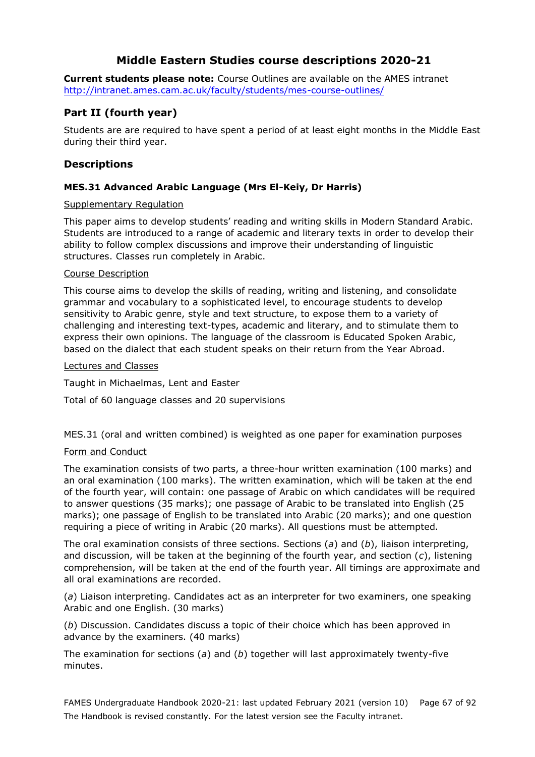# **Middle Eastern Studies course descriptions 2020-21**

**Current students please note:** Course Outlines are available on the AMES intranet <http://intranet.ames.cam.ac.uk/faculty/students/mes-course-outlines/>

# **Part II (fourth year)**

Students are are required to have spent a period of at least eight months in the Middle East during their third year.

### **Descriptions**

### **MES.31 Advanced Arabic Language (Mrs El-Keiy, Dr Harris)**

#### Supplementary Regulation

This paper aims to develop students' reading and writing skills in Modern Standard Arabic. Students are introduced to a range of academic and literary texts in order to develop their ability to follow complex discussions and improve their understanding of linguistic structures. Classes run completely in Arabic.

#### Course Description

This course aims to develop the skills of reading, writing and listening, and consolidate grammar and vocabulary to a sophisticated level, to encourage students to develop sensitivity to Arabic genre, style and text structure, to expose them to a variety of challenging and interesting text-types, academic and literary, and to stimulate them to express their own opinions. The language of the classroom is Educated Spoken Arabic, based on the dialect that each student speaks on their return from the Year Abroad.

#### Lectures and Classes

Taught in Michaelmas, Lent and Easter

Total of 60 language classes and 20 supervisions

MES.31 (oral and written combined) is weighted as one paper for examination purposes

#### Form and Conduct

The examination consists of two parts, a three-hour written examination (100 marks) and an oral examination (100 marks). The written examination, which will be taken at the end of the fourth year, will contain: one passage of Arabic on which candidates will be required to answer questions (35 marks); one passage of Arabic to be translated into English (25 marks); one passage of English to be translated into Arabic (20 marks); and one question requiring a piece of writing in Arabic (20 marks). All questions must be attempted.

The oral examination consists of three sections. Sections (*a*) and (*b*), liaison interpreting, and discussion, will be taken at the beginning of the fourth year, and section (*c*), listening comprehension, will be taken at the end of the fourth year. All timings are approximate and all oral examinations are recorded.

(*a*) Liaison interpreting. Candidates act as an interpreter for two examiners, one speaking Arabic and one English. (30 marks)

(*b*) Discussion. Candidates discuss a topic of their choice which has been approved in advance by the examiners. (40 marks)

The examination for sections (*a*) and (*b*) together will last approximately twenty-five minutes.

FAMES Undergraduate Handbook 2020-21: last updated February 2021 (version 10) Page 67 of 92 The Handbook is revised constantly. For the latest version see the Faculty intranet.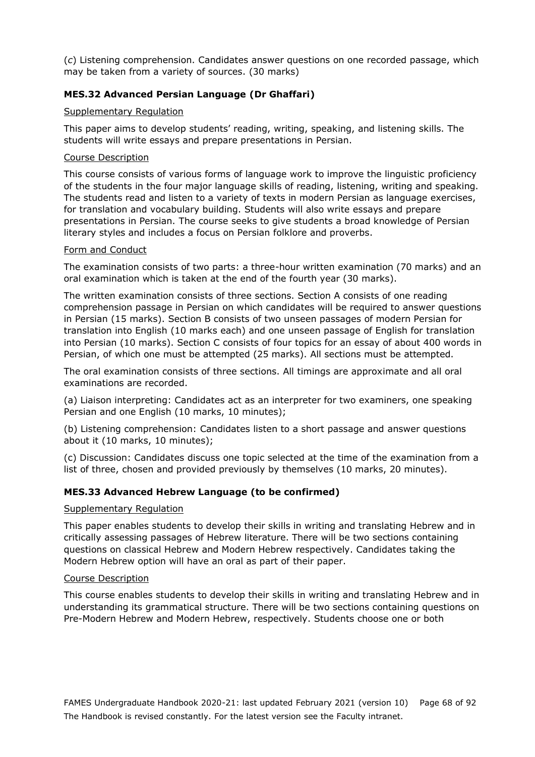(*c*) Listening comprehension. Candidates answer questions on one recorded passage, which may be taken from a variety of sources. (30 marks)

### **MES.32 Advanced Persian Language (Dr Ghaffari)**

### Supplementary Regulation

This paper aims to develop students' reading, writing, speaking, and listening skills. The students will write essays and prepare presentations in Persian.

#### Course Description

This course consists of various forms of language work to improve the linguistic proficiency of the students in the four major language skills of reading, listening, writing and speaking. The students read and listen to a variety of texts in modern Persian as language exercises, for translation and vocabulary building. Students will also write essays and prepare presentations in Persian. The course seeks to give students a broad knowledge of Persian literary styles and includes a focus on Persian folklore and proverbs.

### Form and Conduct

The examination consists of two parts: a three-hour written examination (70 marks) and an oral examination which is taken at the end of the fourth year (30 marks).

The written examination consists of three sections. Section A consists of one reading comprehension passage in Persian on which candidates will be required to answer questions in Persian (15 marks). Section B consists of two unseen passages of modern Persian for translation into English (10 marks each) and one unseen passage of English for translation into Persian (10 marks). Section C consists of four topics for an essay of about 400 words in Persian, of which one must be attempted (25 marks). All sections must be attempted.

The oral examination consists of three sections. All timings are approximate and all oral examinations are recorded.

(a) Liaison interpreting: Candidates act as an interpreter for two examiners, one speaking Persian and one English (10 marks, 10 minutes);

(b) Listening comprehension: Candidates listen to a short passage and answer questions about it (10 marks, 10 minutes);

(c) Discussion: Candidates discuss one topic selected at the time of the examination from a list of three, chosen and provided previously by themselves (10 marks, 20 minutes).

### **MES.33 Advanced Hebrew Language (to be confirmed)**

#### Supplementary Regulation

This paper enables students to develop their skills in writing and translating Hebrew and in critically assessing passages of Hebrew literature. There will be two sections containing questions on classical Hebrew and Modern Hebrew respectively. Candidates taking the Modern Hebrew option will have an oral as part of their paper.

#### Course Description

This course enables students to develop their skills in writing and translating Hebrew and in understanding its grammatical structure. There will be two sections containing questions on Pre-Modern Hebrew and Modern Hebrew, respectively. Students choose one or both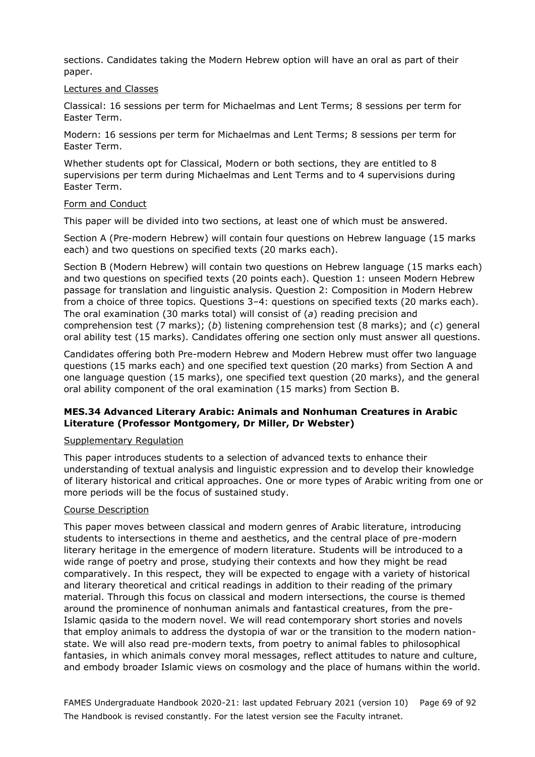sections. Candidates taking the Modern Hebrew option will have an oral as part of their paper.

#### Lectures and Classes

Classical: 16 sessions per term for Michaelmas and Lent Terms; 8 sessions per term for Easter Term.

Modern: 16 sessions per term for Michaelmas and Lent Terms; 8 sessions per term for Easter Term.

Whether students opt for Classical, Modern or both sections, they are entitled to 8 supervisions per term during Michaelmas and Lent Terms and to 4 supervisions during Easter Term.

#### Form and Conduct

This paper will be divided into two sections, at least one of which must be answered.

Section A (Pre-modern Hebrew) will contain four questions on Hebrew language (15 marks each) and two questions on specified texts (20 marks each).

Section B (Modern Hebrew) will contain two questions on Hebrew language (15 marks each) and two questions on specified texts (20 points each). Question 1: unseen Modern Hebrew passage for translation and linguistic analysis. Question 2: Composition in Modern Hebrew from a choice of three topics. Questions 3–4: questions on specified texts (20 marks each). The oral examination (30 marks total) will consist of (*a*) reading precision and comprehension test (7 marks); (*b*) listening comprehension test (8 marks); and (*c*) general oral ability test (15 marks). Candidates offering one section only must answer all questions.

Candidates offering both Pre-modern Hebrew and Modern Hebrew must offer two language questions (15 marks each) and one specified text question (20 marks) from Section A and one language question (15 marks), one specified text question (20 marks), and the general oral ability component of the oral examination (15 marks) from Section B.

### **MES.34 Advanced Literary Arabic: Animals and Nonhuman Creatures in Arabic Literature (Professor Montgomery, Dr Miller, Dr Webster)**

#### Supplementary Regulation

This paper introduces students to a selection of advanced texts to enhance their understanding of textual analysis and linguistic expression and to develop their knowledge of literary historical and critical approaches. One or more types of Arabic writing from one or more periods will be the focus of sustained study.

#### Course Description

This paper moves between classical and modern genres of Arabic literature, introducing students to intersections in theme and aesthetics, and the central place of pre-modern literary heritage in the emergence of modern literature. Students will be introduced to a wide range of poetry and prose, studying their contexts and how they might be read comparatively. In this respect, they will be expected to engage with a variety of historical and literary theoretical and critical readings in addition to their reading of the primary material. Through this focus on classical and modern intersections, the course is themed around the prominence of nonhuman animals and fantastical creatures, from the pre-Islamic qasida to the modern novel. We will read contemporary short stories and novels that employ animals to address the dystopia of war or the transition to the modern nationstate. We will also read pre-modern texts, from poetry to animal fables to philosophical fantasies, in which animals convey moral messages, reflect attitudes to nature and culture, and embody broader Islamic views on cosmology and the place of humans within the world.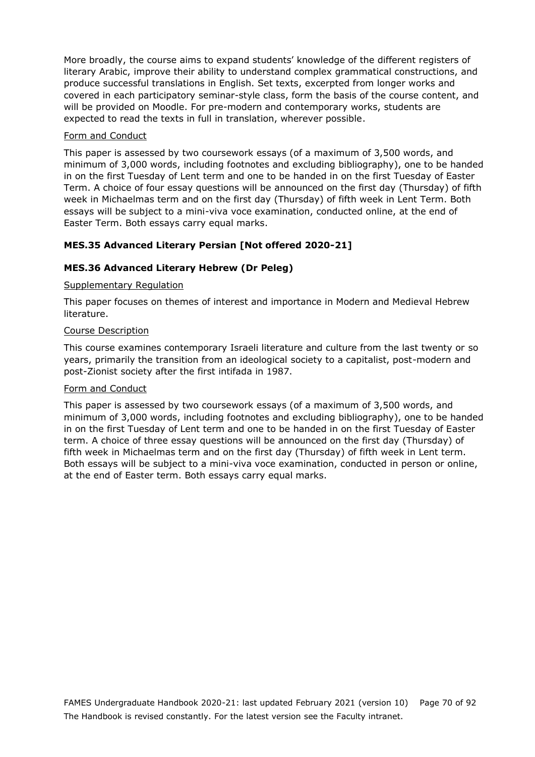More broadly, the course aims to expand students' knowledge of the different registers of literary Arabic, improve their ability to understand complex grammatical constructions, and produce successful translations in English. Set texts, excerpted from longer works and covered in each participatory seminar-style class, form the basis of the course content, and will be provided on Moodle. For pre-modern and contemporary works, students are expected to read the texts in full in translation, wherever possible.

### Form and Conduct

This paper is assessed by two coursework essays (of a maximum of 3,500 words, and minimum of 3,000 words, including footnotes and excluding bibliography), one to be handed in on the first Tuesday of Lent term and one to be handed in on the first Tuesday of Easter Term. A choice of four essay questions will be announced on the first day (Thursday) of fifth week in Michaelmas term and on the first day (Thursday) of fifth week in Lent Term. Both essays will be subject to a mini-viva voce examination, conducted online, at the end of Easter Term. Both essays carry equal marks.

# **MES.35 Advanced Literary Persian [Not offered 2020-21]**

### **MES.36 Advanced Literary Hebrew (Dr Peleg)**

### Supplementary Regulation

This paper focuses on themes of interest and importance in Modern and Medieval Hebrew literature.

### Course Description

This course examines contemporary Israeli literature and culture from the last twenty or so years, primarily the transition from an ideological society to a capitalist, post-modern and post-Zionist society after the first intifada in 1987.

#### Form and Conduct

This paper is assessed by two coursework essays (of a maximum of 3,500 words, and minimum of 3,000 words, including footnotes and excluding bibliography), one to be handed in on the first Tuesday of Lent term and one to be handed in on the first Tuesday of Easter term. A choice of three essay questions will be announced on the first day (Thursday) of fifth week in Michaelmas term and on the first day (Thursday) of fifth week in Lent term. Both essays will be subject to a mini-viva voce examination, conducted in person or online, at the end of Easter term. Both essays carry equal marks.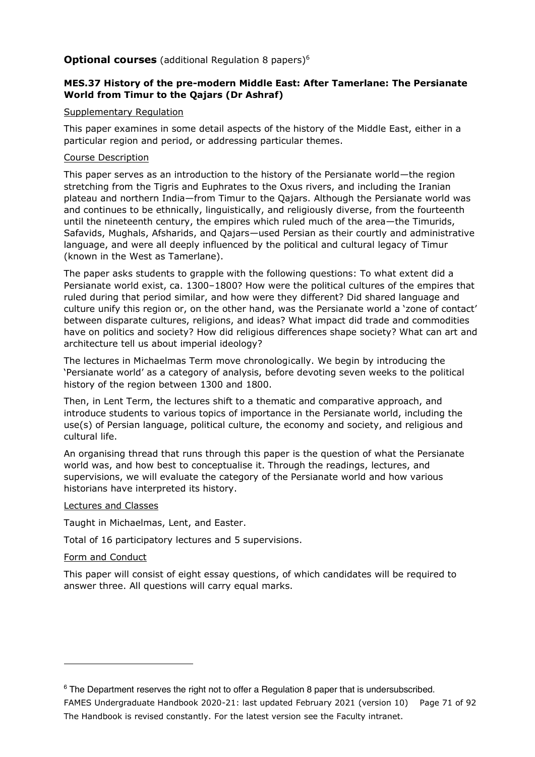### **Optional courses** (additional Regulation 8 papers)<sup>6</sup>

### **MES.37 History of the pre-modern Middle East: After Tamerlane: The Persianate World from Timur to the Qajars (Dr Ashraf)**

### Supplementary Regulation

This paper examines in some detail aspects of the history of the Middle East, either in a particular region and period, or addressing particular themes.

### Course Description

This paper serves as an introduction to the history of the Persianate world—the region stretching from the Tigris and Euphrates to the Oxus rivers, and including the Iranian plateau and northern India—from Timur to the Qajars. Although the Persianate world was and continues to be ethnically, linguistically, and religiously diverse, from the fourteenth until the nineteenth century, the empires which ruled much of the area—the Timurids, Safavids, Mughals, Afsharids, and Qajars—used Persian as their courtly and administrative language, and were all deeply influenced by the political and cultural legacy of Timur (known in the West as Tamerlane).

The paper asks students to grapple with the following questions: To what extent did a Persianate world exist, ca. 1300–1800? How were the political cultures of the empires that ruled during that period similar, and how were they different? Did shared language and culture unify this region or, on the other hand, was the Persianate world a 'zone of contact' between disparate cultures, religions, and ideas? What impact did trade and commodities have on politics and society? How did religious differences shape society? What can art and architecture tell us about imperial ideology?

The lectures in Michaelmas Term move chronologically. We begin by introducing the 'Persianate world' as a category of analysis, before devoting seven weeks to the political history of the region between 1300 and 1800.

Then, in Lent Term, the lectures shift to a thematic and comparative approach, and introduce students to various topics of importance in the Persianate world, including the use(s) of Persian language, political culture, the economy and society, and religious and cultural life.

An organising thread that runs through this paper is the question of what the Persianate world was, and how best to conceptualise it. Through the readings, lectures, and supervisions, we will evaluate the category of the Persianate world and how various historians have interpreted its history.

### Lectures and Classes

Taught in Michaelmas, Lent, and Easter.

Total of 16 participatory lectures and 5 supervisions.

### Form and Conduct

This paper will consist of eight essay questions, of which candidates will be required to answer three. All questions will carry equal marks.

FAMES Undergraduate Handbook 2020-21: last updated February 2021 (version 10) Page 71 of 92 The Handbook is revised constantly. For the latest version see the Faculty intranet.  $6$  The Department reserves the right not to offer a Regulation 8 paper that is undersubscribed.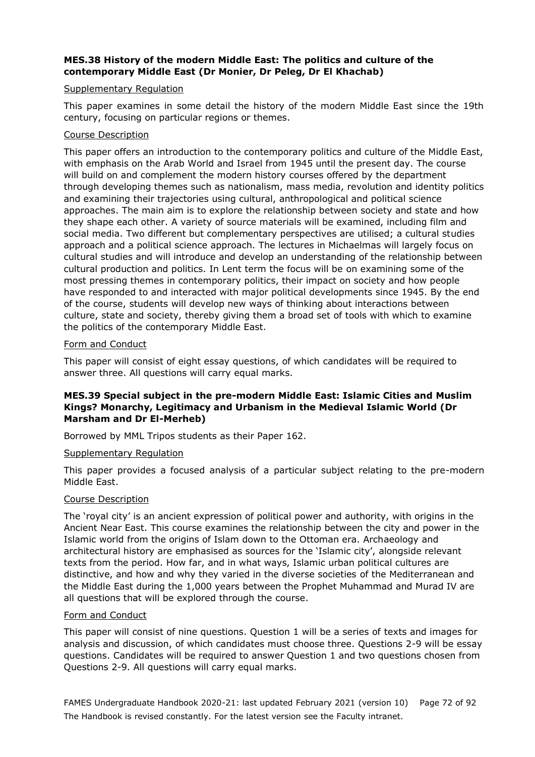### **MES.38 History of the modern Middle East: The politics and culture of the contemporary Middle East (Dr Monier, Dr Peleg, Dr El Khachab)**

#### Supplementary Regulation

This paper examines in some detail the history of the modern Middle East since the 19th century, focusing on particular regions or themes.

#### Course Description

This paper offers an introduction to the contemporary politics and culture of the Middle East, with emphasis on the Arab World and Israel from 1945 until the present day. The course will build on and complement the modern history courses offered by the department through developing themes such as nationalism, mass media, revolution and identity politics and examining their trajectories using cultural, anthropological and political science approaches. The main aim is to explore the relationship between society and state and how they shape each other. A variety of source materials will be examined, including film and social media. Two different but complementary perspectives are utilised; a cultural studies approach and a political science approach. The lectures in Michaelmas will largely focus on cultural studies and will introduce and develop an understanding of the relationship between cultural production and politics. In Lent term the focus will be on examining some of the most pressing themes in contemporary politics, their impact on society and how people have responded to and interacted with major political developments since 1945. By the end of the course, students will develop new ways of thinking about interactions between culture, state and society, thereby giving them a broad set of tools with which to examine the politics of the contemporary Middle East.

#### Form and Conduct

This paper will consist of eight essay questions, of which candidates will be required to answer three. All questions will carry equal marks.

### **MES.39 Special subject in the pre-modern Middle East: Islamic Cities and Muslim Kings? Monarchy, Legitimacy and Urbanism in the Medieval Islamic World (Dr Marsham and Dr El-Merheb)**

Borrowed by MML Tripos students as their Paper 162.

#### Supplementary Regulation

This paper provides a focused analysis of a particular subject relating to the pre-modern Middle East.

#### Course Description

The 'royal city' is an ancient expression of political power and authority, with origins in the Ancient Near East. This course examines the relationship between the city and power in the Islamic world from the origins of Islam down to the Ottoman era. Archaeology and architectural history are emphasised as sources for the 'Islamic city', alongside relevant texts from the period. How far, and in what ways, Islamic urban political cultures are distinctive, and how and why they varied in the diverse societies of the Mediterranean and the Middle East during the 1,000 years between the Prophet Muhammad and Murad IV are all questions that will be explored through the course.

#### Form and Conduct

This paper will consist of nine questions. Question 1 will be a series of texts and images for analysis and discussion, of which candidates must choose three. Questions 2-9 will be essay questions. Candidates will be required to answer Question 1 and two questions chosen from Questions 2-9. All questions will carry equal marks.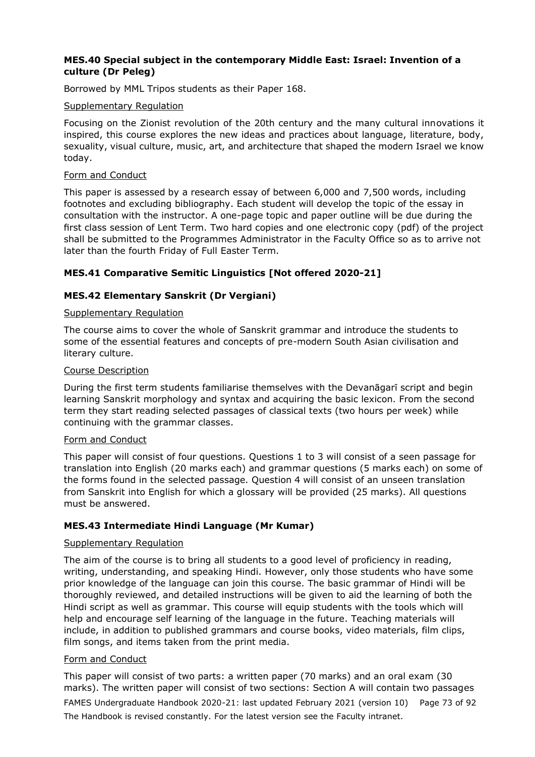### **MES.40 Special subject in the contemporary Middle East: Israel: Invention of a culture (Dr Peleg)**

Borrowed by MML Tripos students as their Paper 168.

### Supplementary Regulation

Focusing on the Zionist revolution of the 20th century and the many cultural innovations it inspired, this course explores the new ideas and practices about language, literature, body, sexuality, visual culture, music, art, and architecture that shaped the modern Israel we know today.

#### Form and Conduct

This paper is assessed by a research essay of between 6,000 and 7,500 words, including footnotes and excluding bibliography. Each student will develop the topic of the essay in consultation with the instructor. A one-page topic and paper outline will be due during the first class session of Lent Term. Two hard copies and one electronic copy (pdf) of the project shall be submitted to the Programmes Administrator in the Faculty Office so as to arrive not later than the fourth Friday of Full Easter Term.

### **MES.41 Comparative Semitic Linguistics [Not offered 2020-21]**

### **MES.42 Elementary Sanskrit (Dr Vergiani)**

### Supplementary Regulation

The course aims to cover the whole of Sanskrit grammar and introduce the students to some of the essential features and concepts of pre-modern South Asian civilisation and literary culture.

### Course Description

During the first term students familiarise themselves with the Devanāgarī script and begin learning Sanskrit morphology and syntax and acquiring the basic lexicon. From the second term they start reading selected passages of classical texts (two hours per week) while continuing with the grammar classes.

### Form and Conduct

This paper will consist of four questions. Questions 1 to 3 will consist of a seen passage for translation into English (20 marks each) and grammar questions (5 marks each) on some of the forms found in the selected passage. Question 4 will consist of an unseen translation from Sanskrit into English for which a glossary will be provided (25 marks). All questions must be answered.

### **MES.43 Intermediate Hindi Language (Mr Kumar)**

### Supplementary Regulation

The aim of the course is to bring all students to a good level of proficiency in reading, writing, understanding, and speaking Hindi. However, only those students who have some prior knowledge of the language can join this course. The basic grammar of Hindi will be thoroughly reviewed, and detailed instructions will be given to aid the learning of both the Hindi script as well as grammar. This course will equip students with the tools which will help and encourage self learning of the language in the future. Teaching materials will include, in addition to published grammars and course books, video materials, film clips, film songs, and items taken from the print media.

### Form and Conduct

FAMES Undergraduate Handbook 2020-21: last updated February 2021 (version 10) Page 73 of 92 The Handbook is revised constantly. For the latest version see the Faculty intranet. This paper will consist of two parts: a written paper (70 marks) and an oral exam (30 marks). The written paper will consist of two sections: Section A will contain two passages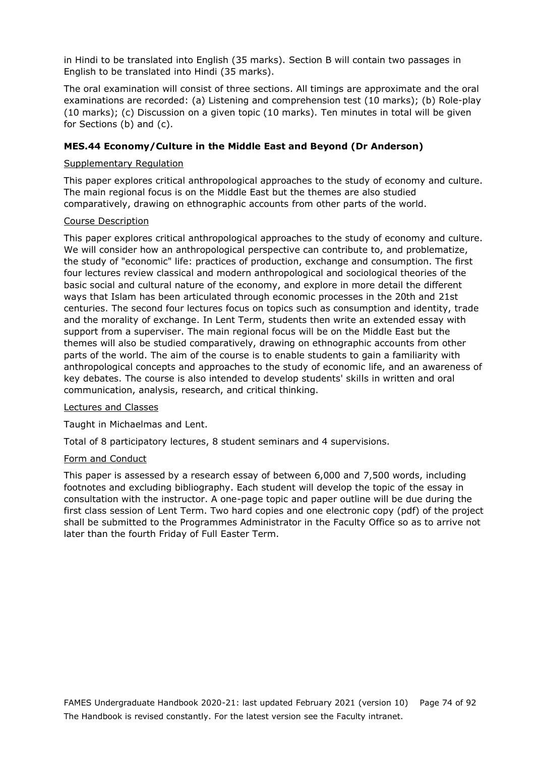in Hindi to be translated into English (35 marks). Section B will contain two passages in English to be translated into Hindi (35 marks).

The oral examination will consist of three sections. All timings are approximate and the oral examinations are recorded: (a) Listening and comprehension test (10 marks); (b) Role-play (10 marks); (c) Discussion on a given topic (10 marks). Ten minutes in total will be given for Sections (b) and (c).

### **MES.44 Economy/Culture in the Middle East and Beyond (Dr Anderson)**

### Supplementary Regulation

This paper explores critical anthropological approaches to the study of economy and culture. The main regional focus is on the Middle East but the themes are also studied comparatively, drawing on ethnographic accounts from other parts of the world.

### Course Description

This paper explores critical anthropological approaches to the study of economy and culture. We will consider how an anthropological perspective can contribute to, and problematize, the study of "economic" life: practices of production, exchange and consumption. The first four lectures review classical and modern anthropological and sociological theories of the basic social and cultural nature of the economy, and explore in more detail the different ways that Islam has been articulated through economic processes in the 20th and 21st centuries. The second four lectures focus on topics such as consumption and identity, trade and the morality of exchange. In Lent Term, students then write an extended essay with support from a superviser. The main regional focus will be on the Middle East but the themes will also be studied comparatively, drawing on ethnographic accounts from other parts of the world. The aim of the course is to enable students to gain a familiarity with anthropological concepts and approaches to the study of economic life, and an awareness of key debates. The course is also intended to develop students' skills in written and oral communication, analysis, research, and critical thinking.

#### Lectures and Classes

Taught in Michaelmas and Lent.

Total of 8 participatory lectures, 8 student seminars and 4 supervisions.

### Form and Conduct

This paper is assessed by a research essay of between 6,000 and 7,500 words, including footnotes and excluding bibliography. Each student will develop the topic of the essay in consultation with the instructor. A one-page topic and paper outline will be due during the first class session of Lent Term. Two hard copies and one electronic copy (pdf) of the project shall be submitted to the Programmes Administrator in the Faculty Office so as to arrive not later than the fourth Friday of Full Easter Term.